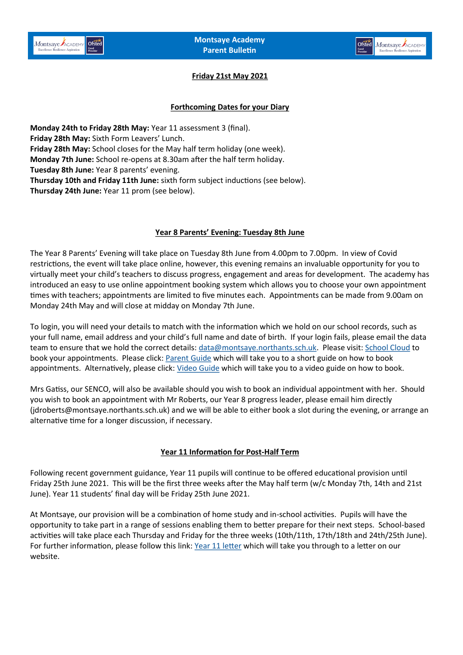

## **Friday 21st May 2021**

## **Forthcoming Dates for your Diary**

**Monday 24th to Friday 28th May:** Year 11 assessment 3 (final). **Friday 28th May:** Sixth Form Leavers' Lunch. **Friday 28th May:** School closes for the May half term holiday (one week). **Monday 7th June:** School re-opens at 8.30am after the half term holiday. **Tuesday 8th June:** Year 8 parents' evening. **Thursday 10th and Friday 11th June:** sixth form subject inductions (see below). **Thursday 24th June:** Year 11 prom (see below).

## **Year 8 Parents' Evening: Tuesday 8th June**

The Year 8 Parents' Evening will take place on Tuesday 8th June from 4.00pm to 7.00pm. In view of Covid restrictions, the event will take place online, however, this evening remains an invaluable opportunity for you to virtually meet your child's teachers to discuss progress, engagement and areas for development. The academy has introduced an easy to use online appointment booking system which allows you to choose your own appointment times with teachers; appointments are limited to five minutes each. Appointments can be made from 9.00am on Monday 24th May and will close at midday on Monday 7th June.

To login, you will need your details to match with the information which we hold on our school records, such as your full name, email address and your child's full name and date of birth. If your login fails, please email the data team to ensure that we hold the correct details: [data@montsaye.northants.sch.uk.](mailto:data@montsaye.northants.sch.uk) Please visit: [School Cloud](https://montsaye.schoolcloud.co.uk/) to book your appointments. Please click: [Parent Guide](https://www.montsaye.northants.sch.uk/assets/Documents/Newsletters/Parent-Guide-Booking-School-Cloud-Appointments.pdf) which will take you to a short guide on how to book appointments. Alternatively, please click: [Video Guide](https://support.parentseveningsystem.co.uk/article/801-video-parents-how-to-attend-appointments-over-video-call) which will take you to a video guide on how to book.

Mrs Gatiss, our SENCO, will also be available should you wish to book an individual appointment with her. Should you wish to book an appointment with Mr Roberts, our Year 8 progress leader, please email him directly (jdroberts@montsaye.northants.sch.uk) and we will be able to either book a slot during the evening, or arrange an alternative time for a longer discussion, if necessary.

## **Year 11 Information for Post-Half Term**

Following recent government guidance, Year 11 pupils will continue to be offered educational provision until Friday 25th June 2021. This will be the first three weeks after the May half term (w/c Monday 7th, 14th and 21st June). Year 11 students' final day will be Friday 25th June 2021.

At Montsaye, our provision will be a combination of home study and in-school activities. Pupils will have the opportunity to take part in a range of sessions enabling them to better prepare for their next steps. School-based activities will take place each Thursday and Friday for the three weeks (10th/11th, 17th/18th and 24th/25th June). For further information, please follow this link: [Year 11 letter](https://www.montsaye.northants.sch.uk/assets/Documents/Newsletters/Y11-Post-half-term-14.5.2021.pdf) which will take you through to a letter on our website.